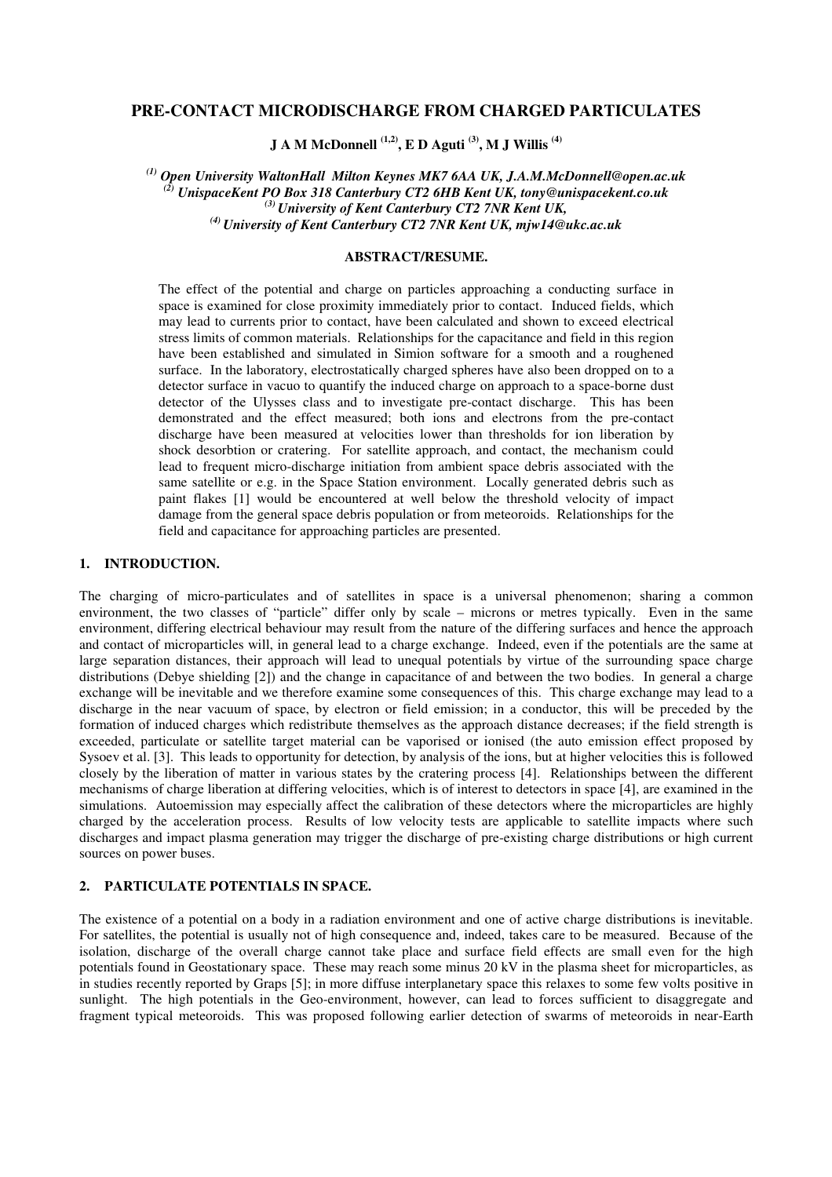# **PRE-CONTACT MICRODISCHARGE FROM CHARGED PARTICULATES**

**J A M McDonnell (1,2) , E D Aguti (3) , M J Willis (4)**

*(1) Open University WaltonHall Milton Keynes MK7 6AA UK, J.A.M.McDonnell@open.ac.uk (2) UnispaceKent PO Box 318 Canterbury CT2 6HB Kent UK, tony@unispacekent.co.uk (3) University of Kent Canterbury CT2 7NR Kent UK, (4) University of Kent Canterbury CT2 7NR Kent UK, mjw14@ukc.ac.uk*

#### **ABSTRACT/RESUME.**

The effect of the potential and charge on particles approaching a conducting surface in space is examined for close proximity immediately prior to contact. Induced fields, which may lead to currents prior to contact, have been calculated and shown to exceed electrical stress limits of common materials. Relationships for the capacitance and field in this region have been established and simulated in Simion software for a smooth and a roughened surface. In the laboratory, electrostatically charged spheres have also been dropped on to a detector surface in vacuo to quantify the induced charge on approach to a space-borne dust detector of the Ulysses class and to investigate pre-contact discharge. This has been demonstrated and the effect measured; both ions and electrons from the pre-contact discharge have been measured at velocities lower than thresholds for ion liberation by shock desorbtion or cratering. For satellite approach, and contact, the mechanism could lead to frequent micro-discharge initiation from ambient space debris associated with the same satellite or e.g. in the Space Station environment. Locally generated debris such as paint flakes [1] would be encountered at well below the threshold velocity of impact damage from the general space debris population or from meteoroids. Relationships for the field and capacitance for approaching particles are presented.

# **1. INTRODUCTION.**

The charging of micro-particulates and of satellites in space is a universal phenomenon; sharing a common environment, the two classes of "particle" differ only by scale – microns or metres typically. Even in the same environment, differing electrical behaviour may result from the nature of the differing surfaces and hence the approach and contact of microparticles will, in general lead to a charge exchange. Indeed, even if the potentials are the same at large separation distances, their approach will lead to unequal potentials by virtue of the surrounding space charge distributions (Debye shielding [2]) and the change in capacitance of and between the two bodies. In general a charge exchange will be inevitable and we therefore examine some consequences of this. This charge exchange may lead to a discharge in the near vacuum of space, by electron or field emission; in a conductor, this will be preceded by the formation of induced charges which redistribute themselves as the approach distance decreases; if the field strength is exceeded, particulate or satellite target material can be vaporised or ionised (the auto emission effect proposed by Sysoev et al. [3]. This leads to opportunity for detection, by analysis of the ions, but at higher velocities this is followed closely by the liberation of matter in various states by the cratering process [4]. Relationships between the different mechanisms of charge liberation at differing velocities, which is of interest to detectors in space [4], are examined in the simulations. Autoemission may especially affect the calibration of these detectors where the microparticles are highly charged by the acceleration process. Results of low velocity tests are applicable to satellite impacts where such discharges and impact plasma generation may trigger the discharge of pre-existing charge distributions or high current sources on power buses.

#### **2. PARTICULATE POTENTIALS IN SPACE.**

The existence of a potential on a body in a radiation environment and one of active charge distributions is inevitable. For satellites, the potential is usually not of high consequence and, indeed, takes care to be measured. Because of the isolation, discharge of the overall charge cannot take place and surface field effects are small even for the high potentials found in Geostationary space. These may reach some minus 20 kV in the plasma sheet for microparticles, as in studies recently reported by Graps [5]; in more diffuse interplanetary space this relaxes to some few volts positive in sunlight. The high potentials in the Geo-environment, however, can lead to forces sufficient to disaggregate and fragment typical meteoroids. This was proposed following earlier detection of swarms of meteoroids in near-Earth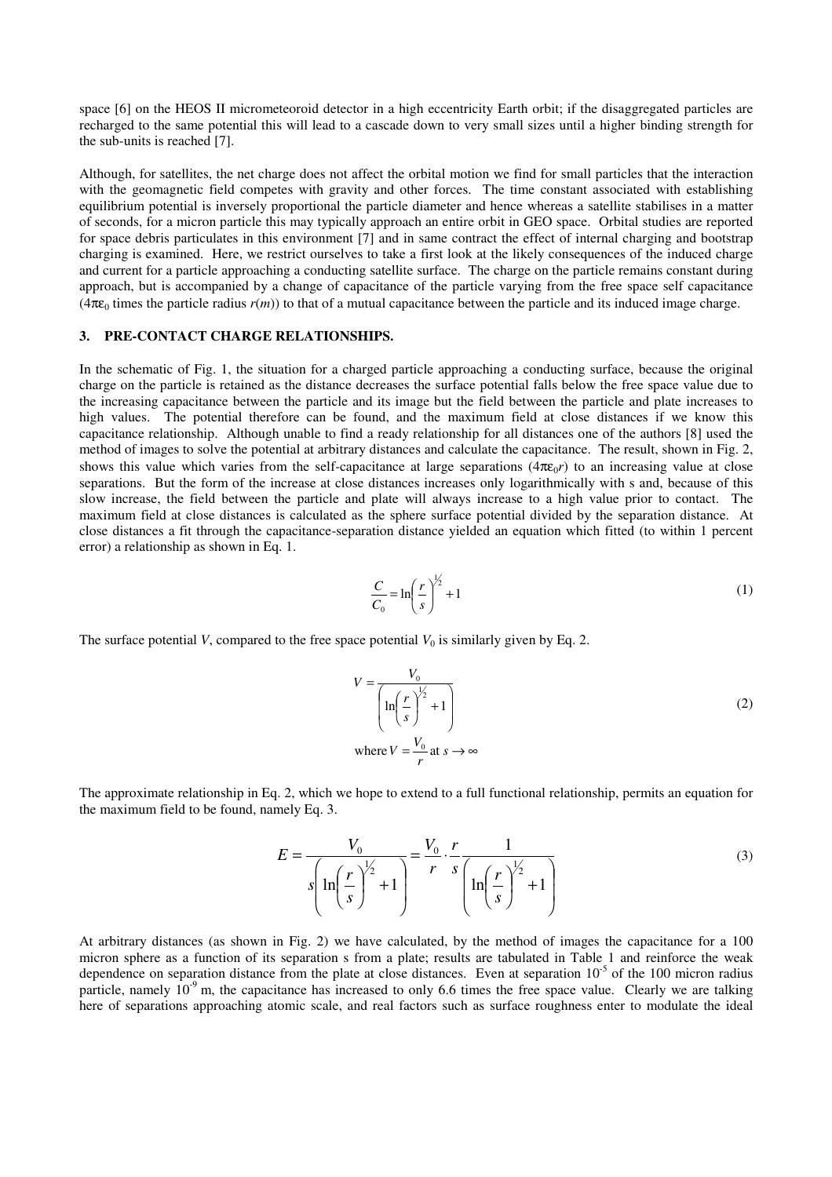space [6] on the HEOS II micrometeoroid detector in a high eccentricity Earth orbit; if the disaggregated particles are recharged to the same potential this will lead to a cascade down to very small sizes until a higher binding strength for the sub-units is reached [7].

Although, for satellites, the net charge does not affect the orbital motion we find for small particles that the interaction with the geomagnetic field competes with gravity and other forces. The time constant associated with establishing equilibrium potential is inversely proportional the particle diameter and hence whereas a satellite stabilises in a matter of seconds, for a micron particle this may typically approach an entire orbit in GEO space. Orbital studies are reported for space debris particulates in this environment [7] and in same contract the effect of internal charging and bootstrap charging is examined. Here, we restrict ourselves to take a first look at the likely consequences of the induced charge and current for a particle approaching a conducting satellite surface. The charge on the particle remains constant during approach, but is accompanied by a change of capacitance of the particle varying from the free space self capacitance ( $4\pi\epsilon_0$  times the particle radius  $r(m)$ ) to that of a mutual capacitance between the particle and its induced image charge.

### **3. PRE-CONTACT CHARGE RELATIONSHIPS.**

In the schematic of Fig. 1, the situation for a charged particle approaching a conducting surface, because the original charge on the particle is retained as the distance decreases the surface potential falls below the free space value due to the increasing capacitance between the particle and its image but the field between the particle and plate increases to high values. The potential therefore can be found, and the maximum field at close distances if we know this capacitance relationship. Although unable to find a ready relationship for all distances one of the authors [8] used the method of images to solve the potential at arbitrary distances and calculate the capacitance. The result, shown in Fig. 2, shows this value which varies from the self-capacitance at large separations ( $4\pi\epsilon_0 r$ ) to an increasing value at close separations. But the form of the increase at close distances increases only logarithmically with s and, because of this slow increase, the field between the particle and plate will always increase to a high value prior to contact. The maximum field at close distances is calculated as the sphere surface potential divided by the separation distance. At close distances a fit through the capacitance-separation distance yielded an equation which fitted (to within 1 percent error) a relationship as shown in Eq. 1.

$$
\frac{C}{C_0} = \ln\left(\frac{r}{s}\right)^{\frac{1}{2}} + 1\tag{1}
$$

The surface potential *V*, compared to the free space potential  $V_0$  is similarly given by Eq. 2.

$$
V = \frac{V_0}{\left(\ln\left(\frac{r}{s}\right)^{\frac{1}{2}} + 1\right)}
$$
\nwhere  $V = \frac{V_0}{r}$  at  $s \to \infty$ 

The approximate relationship in Eq. 2, which we hope to extend to a full functional relationship, permits an equation for the maximum field to be found, namely Eq. 3.

$$
E = \frac{V_0}{s \left( \ln \left( \frac{r}{s} \right)^{\frac{1}{2}} + 1 \right)} = \frac{V_0}{r} \cdot \frac{r}{s} \frac{1}{\left( \ln \left( \frac{r}{s} \right)^{\frac{1}{2}} + 1 \right)}
$$
(3)

At arbitrary distances (as shown in Fig. 2) we have calculated, by the method of images the capacitance for a 100 micron sphere as a function of its separation s from a plate; results are tabulated in Table 1 and reinforce the weak dependence on separation distance from the plate at close distances. Even at separation  $10^{-5}$  of the 100 micron radius particle, namely  $10^{-9}$  m, the capacitance has increased to only 6.6 times the free space value. Clearly we are talking here of separations approaching atomic scale, and real factors such as surface roughness enter to modulate the ideal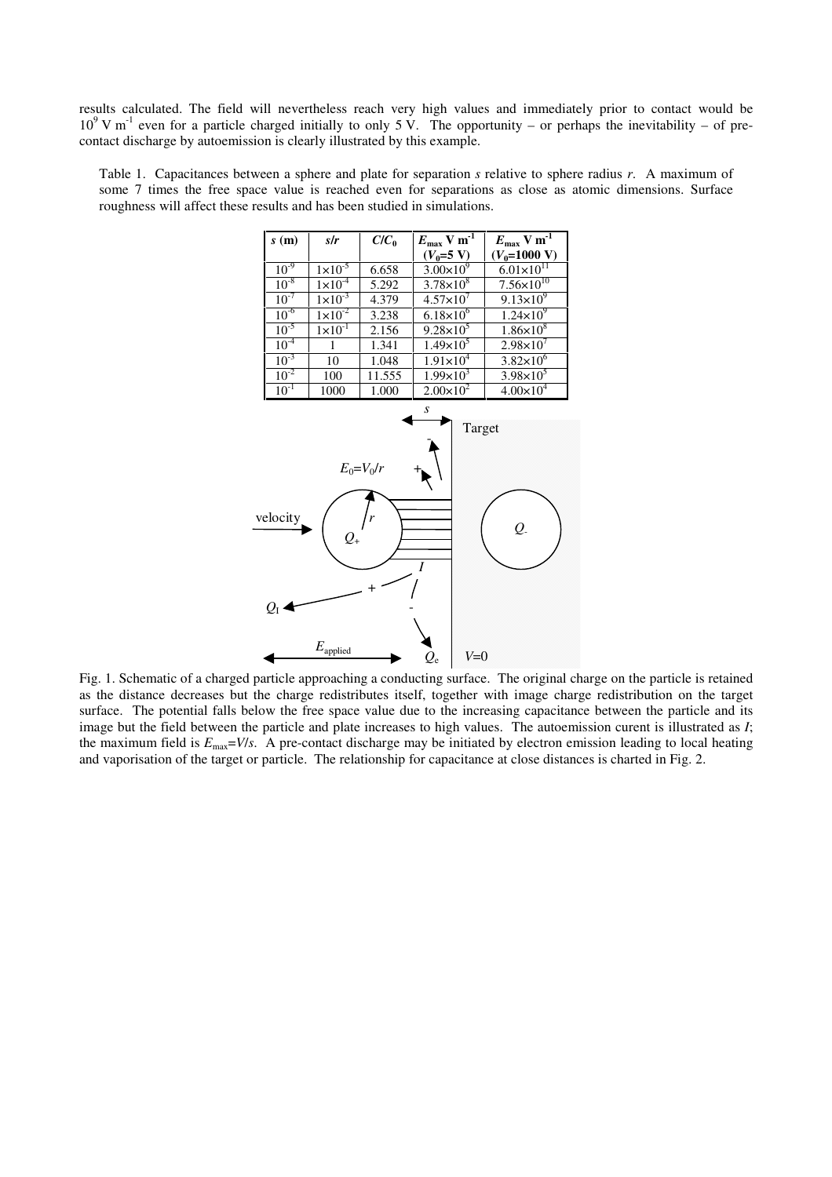results calculated. The field will nevertheless reach very high values and immediately prior to contact would be  $10^9$  V m<sup>-1</sup> even for a particle charged initially to only 5 V. The opportunity – or perhaps the inevitability – of precontact discharge by autoemission is clearly illustrated by this example.

Table 1. Capacitances between a sphere and plate for separation *s* relative to sphere radius *r*. A maximum of some 7 times the free space value is reached even for separations as close as atomic dimensions. Surface roughness will affect these results and has been studied in simulations.



Fig. 1. Schematic of a charged particle approaching a conducting surface. The original charge on the particle is retained as the distance decreases but the charge redistributes itself, together with image charge redistribution on the target surface. The potential falls below the free space value due to the increasing capacitance between the particle and its image but the field between the particle and plate increases to high values. The autoemission curent is illustrated as *I*; the maximum field is  $E_{\text{max}}=V/s$ . A pre-contact discharge may be initiated by electron emission leading to local heating and vaporisation of the target or particle. The relationship for capacitance at close distances is charted in Fig. 2.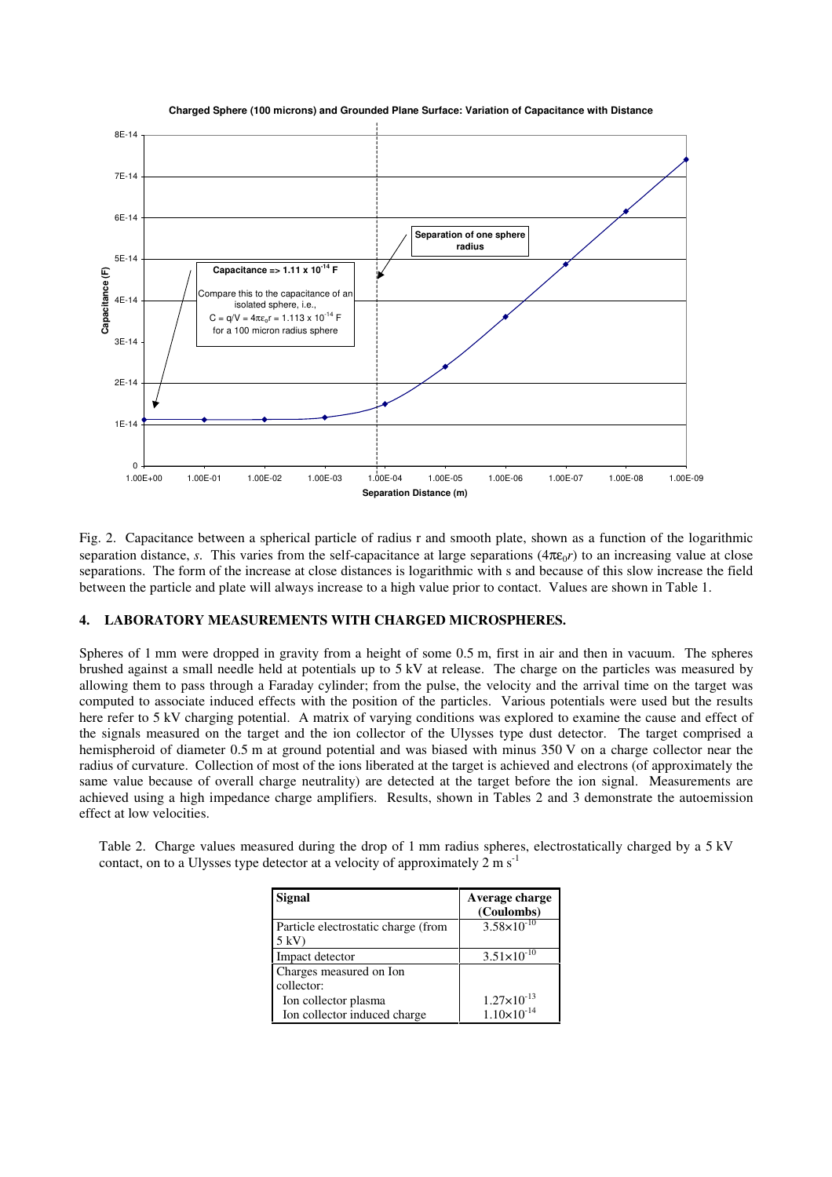

**Charged Sphere (100 microns) and Grounded Plane Surface: Variation of Capacitance with Distance**

Fig. 2. Capacitance between a spherical particle of radius r and smooth plate, shown as a function of the logarithmic separation distance, *s*. This varies from the self-capacitance at large separations  $(4\pi\varepsilon_0 r)$  to an increasing value at close separations. The form of the increase at close distances is logarithmic with s and because of this slow increase the field between the particle and plate will always increase to a high value prior to contact. Values are shown in Table 1.

## **4. LABORATORY MEASUREMENTS WITH CHARGED MICROSPHERES.**

Spheres of 1 mm were dropped in gravity from a height of some 0.5 m, first in air and then in vacuum. The spheres brushed against a small needle held at potentials up to 5 kV at release. The charge on the particles was measured by allowing them to pass through a Faraday cylinder; from the pulse, the velocity and the arrival time on the target was computed to associate induced effects with the position of the particles. Various potentials were used but the results here refer to 5 kV charging potential. A matrix of varying conditions was explored to examine the cause and effect of the signals measured on the target and the ion collector of the Ulysses type dust detector. The target comprised a hemispheroid of diameter 0.5 m at ground potential and was biased with minus 350 V on a charge collector near the radius of curvature. Collection of most of the ions liberated at the target is achieved and electrons (of approximately the same value because of overall charge neutrality) are detected at the target before the ion signal. Measurements are achieved using a high impedance charge amplifiers. Results, shown in Tables 2 and 3 demonstrate the autoemission effect at low velocities.

|  | Table 2. Charge values measured during the drop of 1 mm radius spheres, electrostatically charged by a 5 kV |  |  |  |
|--|-------------------------------------------------------------------------------------------------------------|--|--|--|
|  | contact, on to a Ulysses type detector at a velocity of approximately $2 \text{ m s}^{-1}$                  |  |  |  |

| <b>Signal</b>                                         | Average charge<br>(Coulombs) |
|-------------------------------------------------------|------------------------------|
| Particle electrostatic charge (from<br>$5 \text{ kV}$ | $3.58 \times 10^{-10}$       |
| Impact detector                                       | $3.51 \times 10^{-10}$       |
| Charges measured on Ion                               |                              |
| collector:                                            |                              |
| Ion collector plasma                                  | $1.27 \times 10^{-13}$       |
| Ion collector induced charge                          | $1.10\times10^{-14}$         |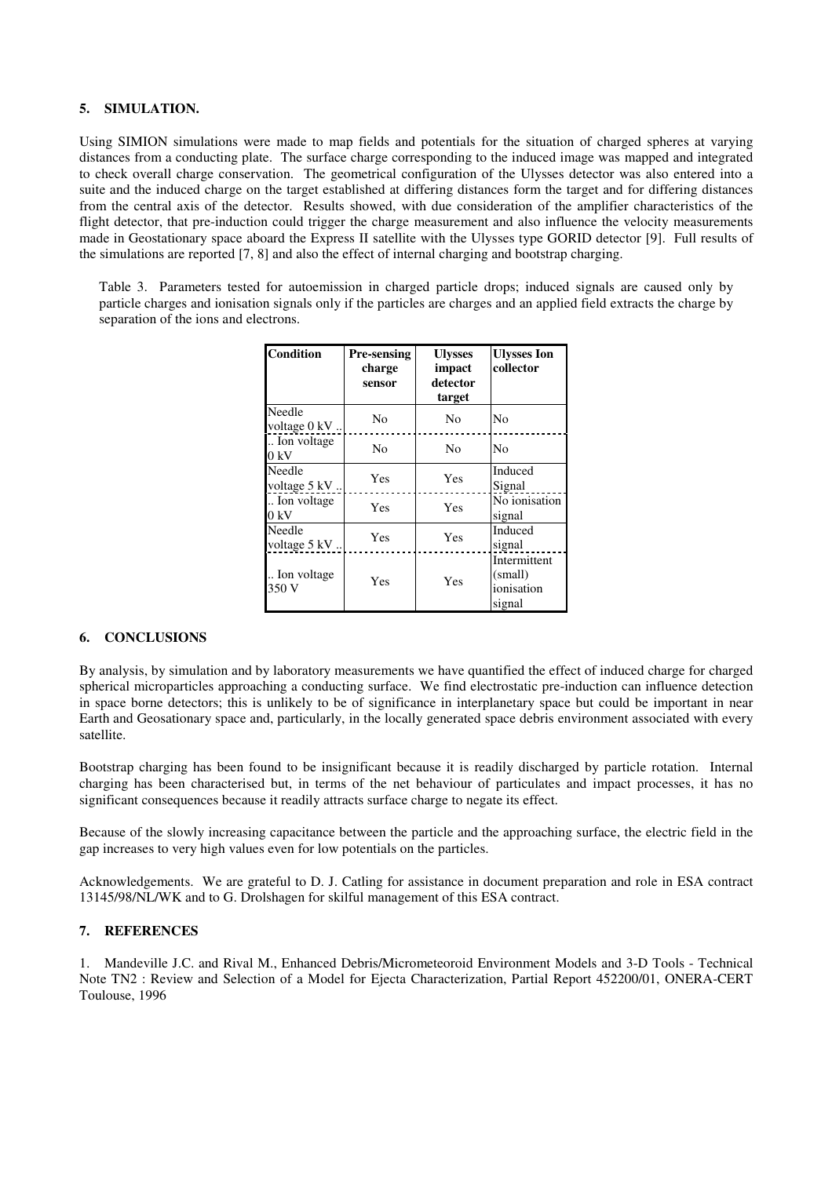#### **5. SIMULATION.**

Using SIMION simulations were made to map fields and potentials for the situation of charged spheres at varying distances from a conducting plate. The surface charge corresponding to the induced image was mapped and integrated to check overall charge conservation. The geometrical configuration of the Ulysses detector was also entered into a suite and the induced charge on the target established at differing distances form the target and for differing distances from the central axis of the detector. Results showed, with due consideration of the amplifier characteristics of the flight detector, that pre-induction could trigger the charge measurement and also influence the velocity measurements made in Geostationary space aboard the Express II satellite with the Ulysses type GORID detector [9]. Full results of the simulations are reported [7, 8] and also the effect of internal charging and bootstrap charging.

Table 3. Parameters tested for autoemission in charged particle drops; induced signals are caused only by particle charges and ionisation signals only if the particles are charges and an applied field extracts the charge by separation of the ions and electrons.

| <b>Condition</b>        | <b>Pre-sensing</b><br>charge<br>sensor | <b>Ulysses</b><br>impact<br>detector<br>target | <b>Ulysses Ion</b><br>collector                 |
|-------------------------|----------------------------------------|------------------------------------------------|-------------------------------------------------|
| Needle<br>voltage 0 kV. | No                                     | No                                             | No                                              |
| Ion voltage<br>0 kV     | No                                     | No                                             | No                                              |
| Needle<br>voltage 5 kV. | Yes                                    | Yes                                            | Induced<br>Signal                               |
| Ion voltage<br>0 kV     | Yes                                    | Yes                                            | No ionisation<br>signal                         |
| Needle<br>voltage 5 kV  | Yes                                    | Yes                                            | Induced<br>signal                               |
| Ion voltage<br>350 V    | Yes                                    | Yes                                            | Intermittent<br>(small)<br>ionisation<br>signal |

#### **6. CONCLUSIONS**

By analysis, by simulation and by laboratory measurements we have quantified the effect of induced charge for charged spherical microparticles approaching a conducting surface. We find electrostatic pre-induction can influence detection in space borne detectors; this is unlikely to be of significance in interplanetary space but could be important in near Earth and Geosationary space and, particularly, in the locally generated space debris environment associated with every satellite.

Bootstrap charging has been found to be insignificant because it is readily discharged by particle rotation. Internal charging has been characterised but, in terms of the net behaviour of particulates and impact processes, it has no significant consequences because it readily attracts surface charge to negate its effect.

Because of the slowly increasing capacitance between the particle and the approaching surface, the electric field in the gap increases to very high values even for low potentials on the particles.

Acknowledgements. We are grateful to D. J. Catling for assistance in document preparation and role in ESA contract 13145/98/NL/WK and to G. Drolshagen for skilful management of this ESA contract.

## **7. REFERENCES**

1. Mandeville J.C. and Rival M., Enhanced Debris/Micrometeoroid Environment Models and 3-D Tools - Technical Note TN2 : Review and Selection of a Model for Ejecta Characterization, Partial Report 452200/01, ONERA-CERT Toulouse, 1996